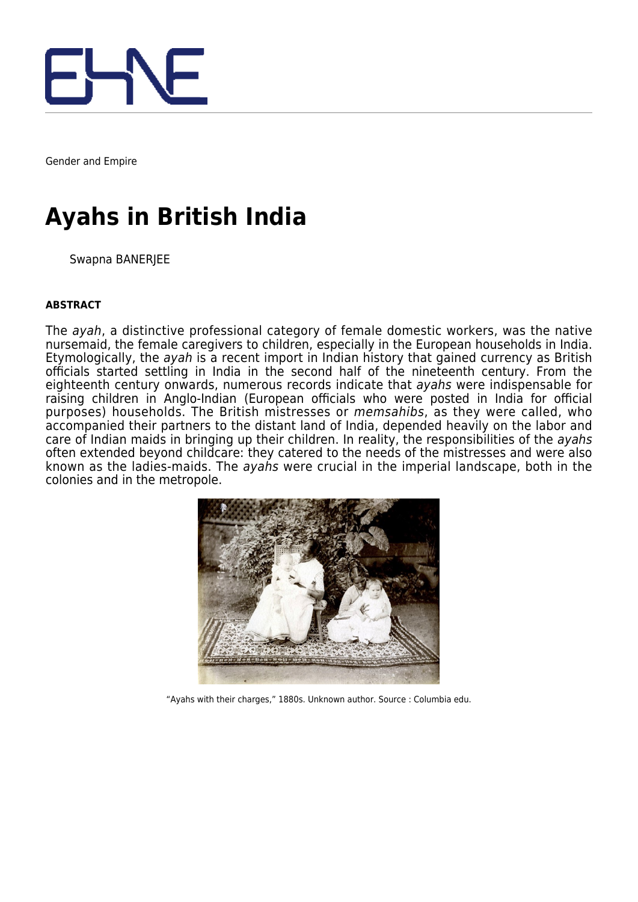

Gender and Empire

# **Ayahs in British India**

Swapna BANERJEE

#### **ABSTRACT**

The ayah, a distinctive professional category of female domestic workers, was the native nursemaid, the female caregivers to children, especially in the European households in India. Etymologically, the ayah is a recent import in Indian history that gained currency as British officials started settling in India in the second half of the nineteenth century. From the eighteenth century onwards, numerous records indicate that ayahs were indispensable for raising children in Anglo-Indian (European officials who were posted in India for official purposes) households. The British mistresses or memsahibs, as they were called, who accompanied their partners to the distant land of India, depended heavily on the labor and care of Indian maids in bringing up their children. In reality, the responsibilities of the ayahs often extended beyond childcare: they catered to the needs of the mistresses and were also known as the ladies-maids. The ayahs were crucial in the imperial landscape, both in the colonies and in the metropole.



"Ayahs with their charges," 1880s. Unknown author. Source : Columbia edu.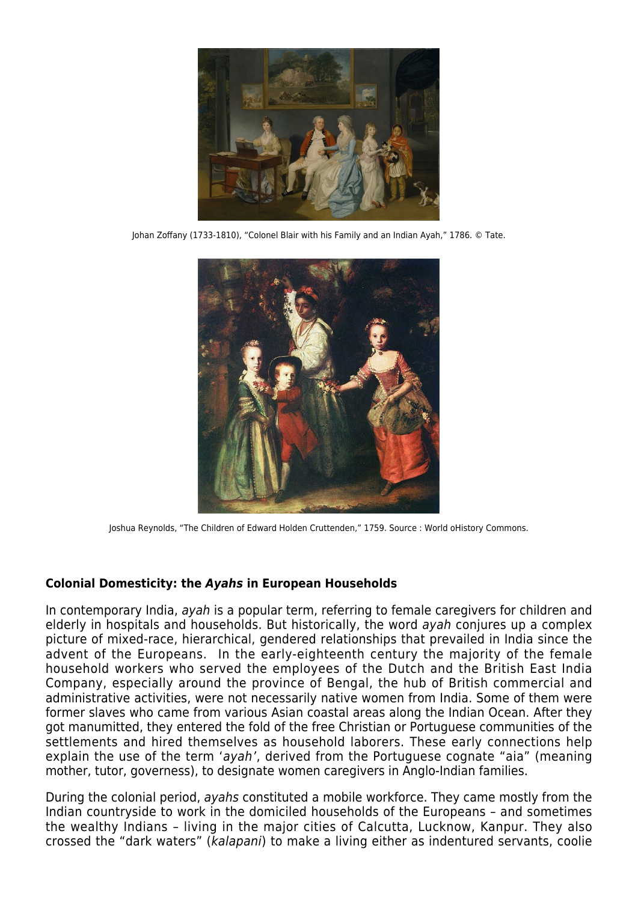

Johan Zoffany (1733-1810), "Colonel Blair with his Family and an Indian Ayah," 1786. © Tate.



Joshua Reynolds, "The Children of Edward Holden Cruttenden," 1759. Source : World oHistory Commons.

## **Colonial Domesticity: the** *Ayahs* **in European Households**

In contemporary India, ayah is a popular term, referring to female caregivers for children and elderly in hospitals and households. But historically, the word ayah conjures up a complex picture of mixed-race, hierarchical, gendered relationships that prevailed in India since the advent of the Europeans. In the early-eighteenth century the majority of the female household workers who served the employees of the Dutch and the British East India Company, especially around the province of Bengal, the hub of British commercial and administrative activities, were not necessarily native women from India. Some of them were former slaves who came from various Asian coastal areas along the Indian Ocean. After they got manumitted, they entered the fold of the free Christian or Portuguese communities of the settlements and hired themselves as household laborers. These early connections help explain the use of the term 'ayah', derived from the Portuguese cognate "aia" (meaning mother, tutor, governess), to designate women caregivers in Anglo-Indian families.

During the colonial period, ayahs constituted a mobile workforce. They came mostly from the Indian countryside to work in the domiciled households of the Europeans – and sometimes the wealthy Indians – living in the major cities of Calcutta, Lucknow, Kanpur. They also crossed the "dark waters" (kalapani) to make a living either as indentured servants, coolie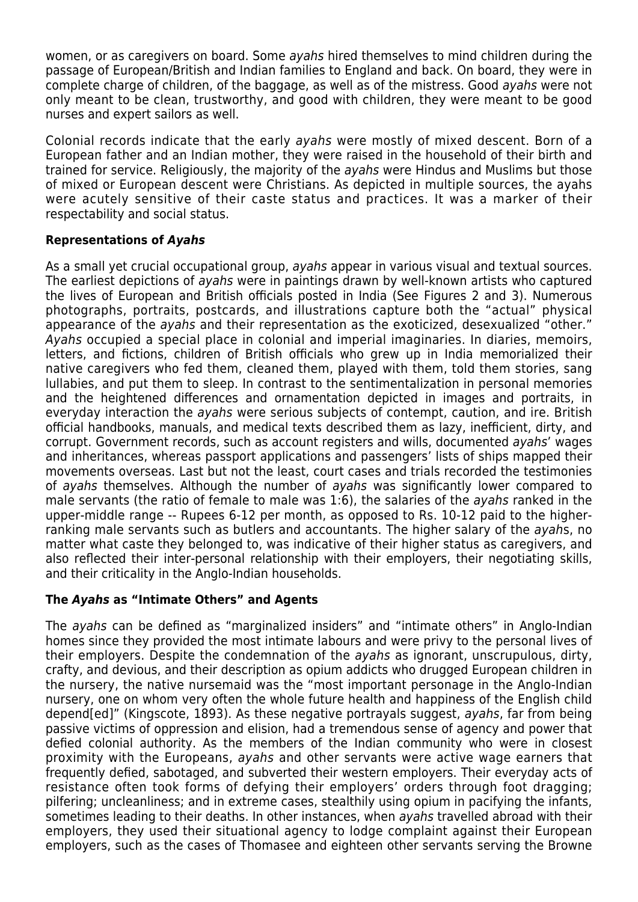women, or as caregivers on board. Some ayahs hired themselves to mind children during the passage of European/British and Indian families to England and back. On board, they were in complete charge of children, of the baggage, as well as of the mistress. Good ayahs were not only meant to be clean, trustworthy, and good with children, they were meant to be good nurses and expert sailors as well.

Colonial records indicate that the early ayahs were mostly of mixed descent. Born of a European father and an Indian mother, they were raised in the household of their birth and trained for service. Religiously, the majority of the ayahs were Hindus and Muslims but those of mixed or European descent were Christians. As depicted in multiple sources, the ayahs were acutely sensitive of their caste status and practices. It was a marker of their respectability and social status.

### **Representations of** *Ayahs*

As a small yet crucial occupational group, *avahs* appear in various visual and textual sources. The earliest depictions of ayahs were in paintings drawn by well-known artists who captured the lives of European and British officials posted in India (See Figures 2 and 3). Numerous photographs, portraits, postcards, and illustrations capture both the "actual" physical appearance of the ayahs and their representation as the exoticized, desexualized "other." Ayahs occupied a special place in colonial and imperial imaginaries. In diaries, memoirs, letters, and fictions, children of British officials who grew up in India memorialized their native caregivers who fed them, cleaned them, played with them, told them stories, sang lullabies, and put them to sleep. In contrast to the sentimentalization in personal memories and the heightened differences and ornamentation depicted in images and portraits, in everyday interaction the ayahs were serious subjects of contempt, caution, and ire. British official handbooks, manuals, and medical texts described them as lazy, inefficient, dirty, and corrupt. Government records, such as account registers and wills, documented ayahs' wages and inheritances, whereas passport applications and passengers' lists of ships mapped their movements overseas. Last but not the least, court cases and trials recorded the testimonies of ayahs themselves. Although the number of ayahs was significantly lower compared to male servants (the ratio of female to male was 1:6), the salaries of the ayahs ranked in the upper-middle range -- Rupees 6-12 per month, as opposed to Rs. 10-12 paid to the higherranking male servants such as butlers and accountants. The higher salary of the ayahs, no matter what caste they belonged to, was indicative of their higher status as caregivers, and also reflected their inter-personal relationship with their employers, their negotiating skills, and their criticality in the Anglo-Indian households.

## **The** *Ayahs* **as "Intimate Others" and Agents**

The ayahs can be defined as "marginalized insiders" and "intimate others" in Anglo-Indian homes since they provided the most intimate labours and were privy to the personal lives of their employers. Despite the condemnation of the ayahs as ignorant, unscrupulous, dirty, crafty, and devious, and their description as opium addicts who drugged European children in the nursery, the native nursemaid was the "most important personage in the Anglo-Indian nursery, one on whom very often the whole future health and happiness of the English child depend[ed]" (Kingscote, 1893). As these negative portrayals suggest, ayahs, far from being passive victims of oppression and elision, had a tremendous sense of agency and power that defied colonial authority. As the members of the Indian community who were in closest proximity with the Europeans, ayahs and other servants were active wage earners that frequently defied, sabotaged, and subverted their western employers. Their everyday acts of resistance often took forms of defying their employers' orders through foot dragging; pilfering; uncleanliness; and in extreme cases, stealthily using opium in pacifying the infants, sometimes leading to their deaths. In other instances, when ayahs travelled abroad with their employers, they used their situational agency to lodge complaint against their European employers, such as the cases of Thomasee and eighteen other servants serving the Browne